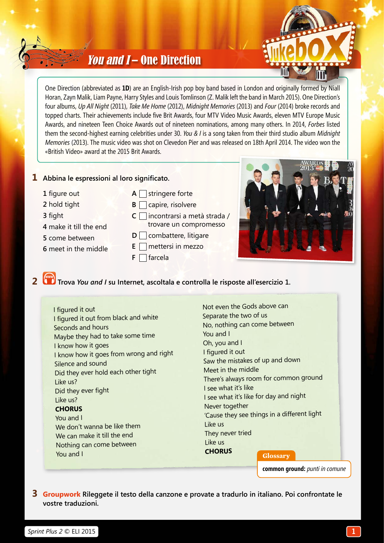# **You and I – One Direction**



One Direction (abbreviated as **1D**) are an English-Irish pop boy band based in London and originally formed by Niall Horan, Zayn Malik, Liam Payne, Harry Styles and Louis Tomlinson (Z. Malik left the band in March 2015). One Direction's four albums, *Up All Night* (2011), *Take Me Home* (2012), *Midnight Memories* (2013) and *Four* (2014) broke records and topped charts. Their achievements include five Brit Awards, four MTV Video Music Awards, eleven MTV Europe Music Awards, and nineteen Teen Choice Awards out of nineteen nominations, among many others. In 2014, *Forbes* listed them the second-highest earning celebrities under 30. *You & I* is a song taken from their third studio album *Midnight Memories* (2013). The music video was shot on Clevedon Pier and was released on 18th April 2014. The video won the «British Video» award at the 2015 Brit Awards.

#### **1 Abbina le espressioni al loro significato.**

- **1** figure out
- **2** hold tight
- **3** fight
- **4** make it till the end
- **5** come between
- **6** meet in the middle
- **A** stringere forte **B** capire, risolvere
- **C** incontrarsi a metà strada /
- trovare un compromesso
- **D** combattere, litigare
- **E** mettersi in mezzo
- **F** farcela



**2 www Trova** *You and I* **su Internet, ascoltala e controlla le risposte all'esercizio 1.**

- I figured it out I figured it out from black and white Seconds and hours Maybe they had to take some time I know how it goes I know how it goes from wrong and right Silence and sound Did they ever hold each other tight Like us? Did they ever fight Like us? **CHORUS** You and I We don't wanna be like them We can make it till the end Nothing can come between
- Separate the two of us No, nothing can come between You and I Oh, you and I I figured it out Saw the mistakes of up and down Meet in the middle There's always room for common groun<sup>d</sup> I see what it's like I see what it's like for day and night Never together 'Cause they see things in a different light Like us They never tried Like us **CHORUS Glossary**

Not even the Gods above can

**common ground:** *punti in comune*

**3 Groupwork Rileggete il testo della canzone e provate a tradurlo in italiano. Poi confrontate le vostre traduzioni.**

You and I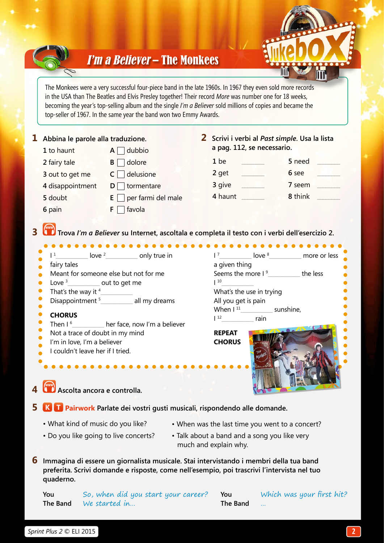# I'm a Believer – The Monkees



The Monkees were a very successful four-piece band in the late 1960s. In 1967 they even sold more records in the USA than The Beatles and Elvis Presley together! Their record *More* was number one for 18 weeks, becoming the year's top-selling album and the single *I'm a Believer* sold millions of copies and became the top-seller of 1967. In the same year the band won two Emmy Awards.

### **1 Abbina le parole alla traduzione.**

- **1** to haunt **a**  $\Box$  dubbio
- **2** fairy tale **b**  $\Box$  **dolore**
- **3** out to get me **c** delusione
- **4** disappointment **D** tormentare
- 
- 
- **5** doubt **E e** per farmi del male
- **6** pain **f f f** favola

**2 Scrivi i verbi al** *Past simple***. Usa la lista a pag. 112, se necessario.**

| 1 be    | 5 need  |
|---------|---------|
| 2 get   | 6 see   |
| 3 give  | 7 seem  |
| 4 haunt | 8 think |

**3 www Trova** *I'm a Believer* **su Internet, ascoltala e completa il testo con i verbi dell'esercizio 2.**

I 1  $\log^2$ \_\_\_\_\_\_\_\_\_\_\_\_ only true in

- fairy tales
- Meant for someone else but not for me
- Love  $^3$  \_\_\_\_\_\_\_\_\_\_\_\_ out to get me
- That's the way it  $4$  $\frac{1}{\sqrt{2}}$
- $\bullet$ Disappointment <sup>5</sup><sub>\_\_\_\_\_\_\_\_\_\_\_\_\_\_ all my dreams</sub>

#### **Chorus**

- Then  $1^6$ \_\_\_\_\_\_\_\_\_\_\_\_ her face, now I'm a believer
- Not a trace of doubt in my mind
- I'm in love, I'm a believer
- I couldn't leave her if I tried.

I 7  $\sim$  love  $^8$ more or less a given thing Seems the more I <sup>9</sup> \_\_\_\_\_\_\_\_\_\_\_ the less  $\vert$  10 What's the use in trying All you get is pain When  $I^{11}$  sunshine.  $I<sup>12</sup>$  rain

**Repeat Chorus**



## **4 www Ascolta ancora e controlla.**

- **5 K T Pairwork Parlate dei vostri gusti musicali, rispondendo alle domande.**
	- What kind of music do you like?
- When was the last time you went to a concert?
- Do you like going to live concerts?
- Talk about a band and a song you like very much and explain why.
- **6 Immagina di essere un giornalista musicale. Stai intervistando i membri della tua band preferita. Scrivi domande e risposte, come nell'esempio, poi trascrivi l'intervista nel tuo quaderno.**

| You | So, when did you start your career? | You      |
|-----|-------------------------------------|----------|
|     | <b>The Band</b> We started in       | The Band |

**You** Which was your first hit?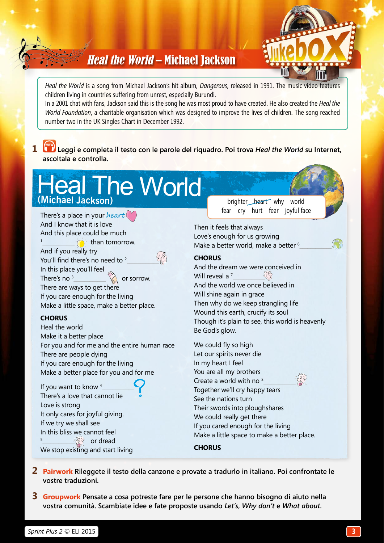# Heal the World – Michael Jackson



 $\frac{1}{2}$ 

*Heal the World* is a song from Michael Jackson's hit album, *Dangerous*, released in 1991. The music video features children living in countries suffering from unrest, especially Burundi.

In a 2001 chat with fans, Jackson said this is the song he was most proud to have created. He also created the *Heal the World Foundation*, a charitable organisation which was designed to improve the lives of children. The song reached number two in the UK Singles Chart in December 1992.

#### **1 www Leggi e completa il testo con le parole del riquadro. Poi trova** *Heal the World* **su Internet, ascoltala e controlla.**



There's a place in your heart And I know that it is love And this place could be much 1 than tomorrow. And if you really try You'll find there's no need to <sup>2</sup>  $\overline{\mathcal{E}}$ In this place you'll feel There's no 3 or sorrow. There are ways to get there If you care enough for the living Make a little space, make a better place. **Chorus** Heal the world Make it a better place

For you and for me and the entire human race There are people dying If you care enough for the living Make a better place for you and for me

If you want to know 4 There's a love that cannot lie Love is strong It only cares for joyful giving. If we try we shall see In this bliss we cannot feel 5  $\sqrt[3]{2}$  or dread We stop existing and start living fear cry hurt fear joyful face

Then it feels that always Love's enough for us growing Make a better world, make a better <sup>6</sup>

#### **Chorus**

And the dream we were conceived in Will reveal a<sup>7</sup>  $\frac{1}{2}$ And the world we once believed in Will shine again in grace Then why do we keep strangling life Wound this earth, crucify its soul Though it's plain to see, this world is heavenly Be God's glow.

We could fly so high Let our spirits never die In my heart I feel You are all my brothers Create a world with no 8  $\sim$   $\sim$   $\sim$   $\sim$   $\sim$   $\sim$ Together we'll cry happy tears See the nations turn Their swords into ploughshares We could really get there If you cared enough for the living Make a little space to make a better place.

#### **Chorus**

- **2 Pairwork Rileggete il testo della canzone e provate a tradurlo in italiano. Poi confrontate le vostre traduzioni.**
- **3 Groupwork Pensate a cosa potreste fare per le persone che hanno bisogno di aiuto nella vostra comunità. Scambiate idee e fate proposte usando** *Let's***,** *Why don't* **e** *What about***.**